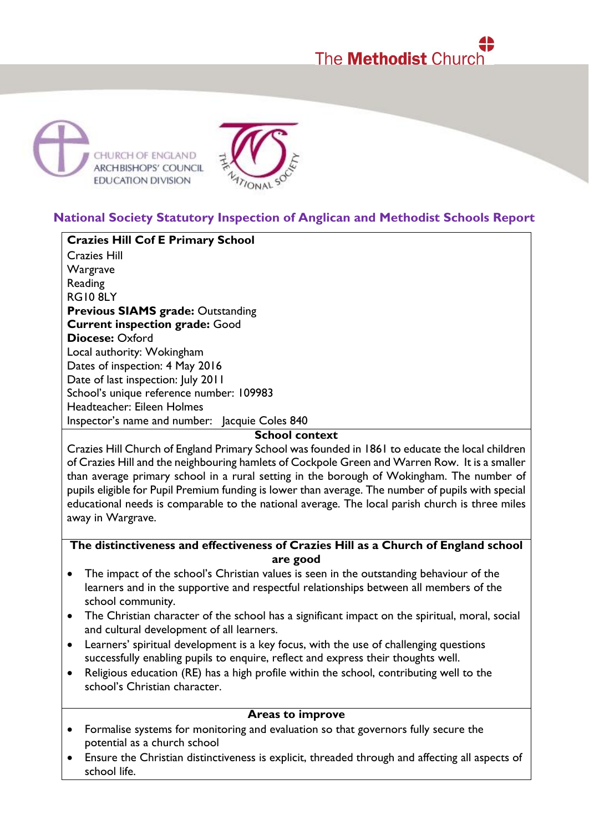# The **Methodist** Church





## **National Society Statutory Inspection of Anglican and Methodist Schools Report**

**Crazies Hill Cof E Primary School** Crazies Hill Wargrave Reading RG10 8LY **Previous SIAMS grade:** Outstanding **Current inspection grade:** Good **Diocese:** Oxford Local authority: Wokingham Dates of inspection: 4 May 2016 Date of last inspection: July 2011 School's unique reference number: 109983 Headteacher: Eileen Holmes Inspector's name and number: Jacquie Coles 840

#### **School context**

Crazies Hill Church of England Primary School was founded in 1861 to educate the local children of Crazies Hill and the neighbouring hamlets of Cockpole Green and Warren Row. It is a smaller than average primary school in a rural setting in the borough of Wokingham. The number of pupils eligible for Pupil Premium funding is lower than average. The number of pupils with special educational needs is comparable to the national average. The local parish church is three miles away in Wargrave.

#### **The distinctiveness and effectiveness of Crazies Hill as a Church of England school are good**

- The impact of the school's Christian values is seen in the outstanding behaviour of the learners and in the supportive and respectful relationships between all members of the school community.
- The Christian character of the school has a significant impact on the spiritual, moral, social and cultural development of all learners.
- Learners' spiritual development is a key focus, with the use of challenging questions successfully enabling pupils to enquire, reflect and express their thoughts well.
- Religious education (RE) has a high profile within the school, contributing well to the school's Christian character.

#### **Areas to improve**

- Formalise systems for monitoring and evaluation so that governors fully secure the potential as a church school
- Ensure the Christian distinctiveness is explicit, threaded through and affecting all aspects of school life.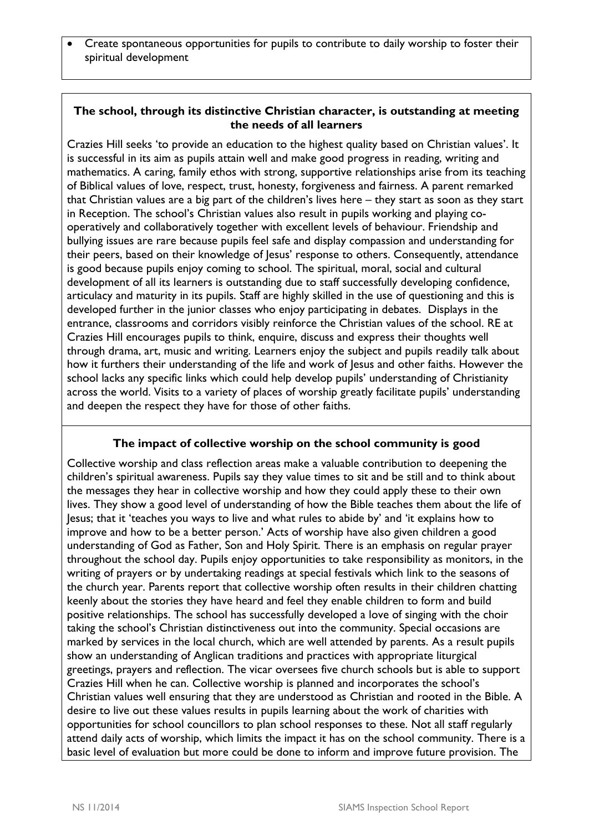Create spontaneous opportunities for pupils to contribute to daily worship to foster their spiritual development

#### **The school, through its distinctive Christian character, is outstanding at meeting the needs of all learners**

Crazies Hill seeks 'to provide an education to the highest quality based on Christian values'. It is successful in its aim as pupils attain well and make good progress in reading, writing and mathematics. A caring, family ethos with strong, supportive relationships arise from its teaching of Biblical values of love, respect, trust, honesty, forgiveness and fairness. A parent remarked that Christian values are a big part of the children's lives here – they start as soon as they start in Reception. The school's Christian values also result in pupils working and playing cooperatively and collaboratively together with excellent levels of behaviour. Friendship and bullying issues are rare because pupils feel safe and display compassion and understanding for their peers, based on their knowledge of Jesus' response to others. Consequently, attendance is good because pupils enjoy coming to school. The spiritual, moral, social and cultural development of all its learners is outstanding due to staff successfully developing confidence, articulacy and maturity in its pupils. Staff are highly skilled in the use of questioning and this is developed further in the junior classes who enjoy participating in debates. Displays in the entrance, classrooms and corridors visibly reinforce the Christian values of the school. RE at Crazies Hill encourages pupils to think, enquire, discuss and express their thoughts well through drama, art, music and writing. Learners enjoy the subject and pupils readily talk about how it furthers their understanding of the life and work of Jesus and other faiths. However the school lacks any specific links which could help develop pupils' understanding of Christianity across the world. Visits to a variety of places of worship greatly facilitate pupils' understanding and deepen the respect they have for those of other faiths.

### **The impact of collective worship on the school community is good**

Collective worship and class reflection areas make a valuable contribution to deepening the children's spiritual awareness. Pupils say they value times to sit and be still and to think about the messages they hear in collective worship and how they could apply these to their own lives. They show a good level of understanding of how the Bible teaches them about the life of Jesus; that it 'teaches you ways to live and what rules to abide by' and 'it explains how to improve and how to be a better person.' Acts of worship have also given children a good understanding of God as Father, Son and Holy Spirit. There is an emphasis on regular prayer throughout the school day. Pupils enjoy opportunities to take responsibility as monitors, in the writing of prayers or by undertaking readings at special festivals which link to the seasons of the church year. Parents report that collective worship often results in their children chatting keenly about the stories they have heard and feel they enable children to form and build positive relationships. The school has successfully developed a love of singing with the choir taking the school's Christian distinctiveness out into the community. Special occasions are marked by services in the local church, which are well attended by parents. As a result pupils show an understanding of Anglican traditions and practices with appropriate liturgical greetings, prayers and reflection. The vicar oversees five church schools but is able to support Crazies Hill when he can. Collective worship is planned and incorporates the school's Christian values well ensuring that they are understood as Christian and rooted in the Bible. A desire to live out these values results in pupils learning about the work of charities with opportunities for school councillors to plan school responses to these. Not all staff regularly attend daily acts of worship, which limits the impact it has on the school community. There is a basic level of evaluation but more could be done to inform and improve future provision. The